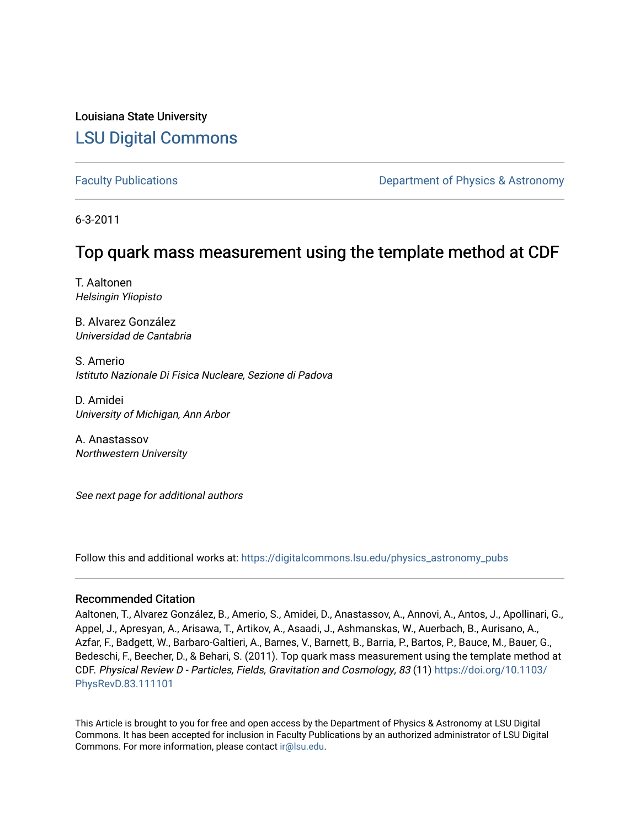### Louisiana State University [LSU Digital Commons](https://digitalcommons.lsu.edu/)

[Faculty Publications](https://digitalcommons.lsu.edu/physics_astronomy_pubs) **Example 2** Constant Department of Physics & Astronomy

6-3-2011

## Top quark mass measurement using the template method at CDF

T. Aaltonen Helsingin Yliopisto

B. Alvarez González Universidad de Cantabria

S. Amerio Istituto Nazionale Di Fisica Nucleare, Sezione di Padova

D. Amidei University of Michigan, Ann Arbor

A. Anastassov Northwestern University

See next page for additional authors

Follow this and additional works at: [https://digitalcommons.lsu.edu/physics\\_astronomy\\_pubs](https://digitalcommons.lsu.edu/physics_astronomy_pubs?utm_source=digitalcommons.lsu.edu%2Fphysics_astronomy_pubs%2F2361&utm_medium=PDF&utm_campaign=PDFCoverPages) 

### Recommended Citation

Aaltonen, T., Alvarez González, B., Amerio, S., Amidei, D., Anastassov, A., Annovi, A., Antos, J., Apollinari, G., Appel, J., Apresyan, A., Arisawa, T., Artikov, A., Asaadi, J., Ashmanskas, W., Auerbach, B., Aurisano, A., Azfar, F., Badgett, W., Barbaro-Galtieri, A., Barnes, V., Barnett, B., Barria, P., Bartos, P., Bauce, M., Bauer, G., Bedeschi, F., Beecher, D., & Behari, S. (2011). Top quark mass measurement using the template method at CDF. Physical Review D - Particles, Fields, Gravitation and Cosmology, 83 (11) [https://doi.org/10.1103/](https://doi.org/10.1103/PhysRevD.83.111101) [PhysRevD.83.111101](https://doi.org/10.1103/PhysRevD.83.111101)

This Article is brought to you for free and open access by the Department of Physics & Astronomy at LSU Digital Commons. It has been accepted for inclusion in Faculty Publications by an authorized administrator of LSU Digital Commons. For more information, please contact [ir@lsu.edu](mailto:ir@lsu.edu).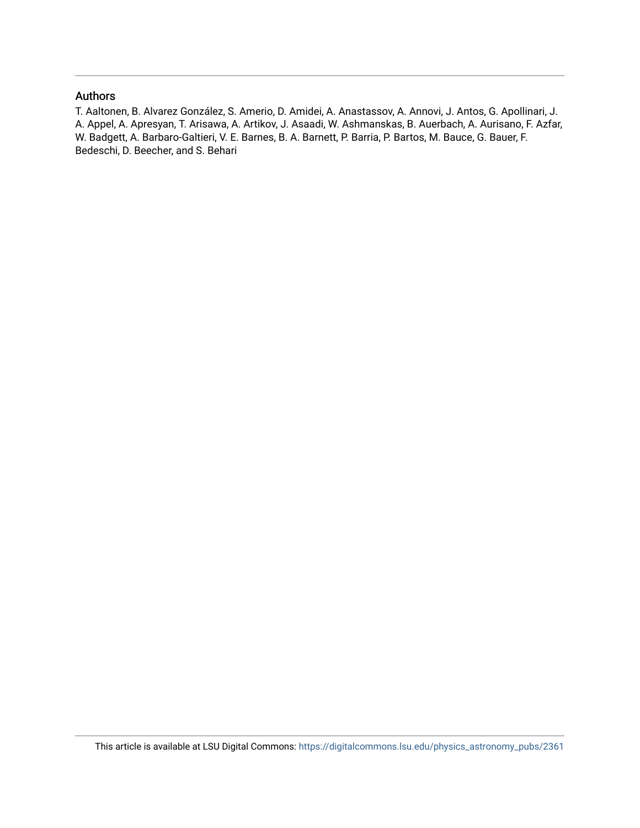### Authors

T. Aaltonen, B. Alvarez González, S. Amerio, D. Amidei, A. Anastassov, A. Annovi, J. Antos, G. Apollinari, J. A. Appel, A. Apresyan, T. Arisawa, A. Artikov, J. Asaadi, W. Ashmanskas, B. Auerbach, A. Aurisano, F. Azfar, W. Badgett, A. Barbaro-Galtieri, V. E. Barnes, B. A. Barnett, P. Barria, P. Bartos, M. Bauce, G. Bauer, F. Bedeschi, D. Beecher, and S. Behari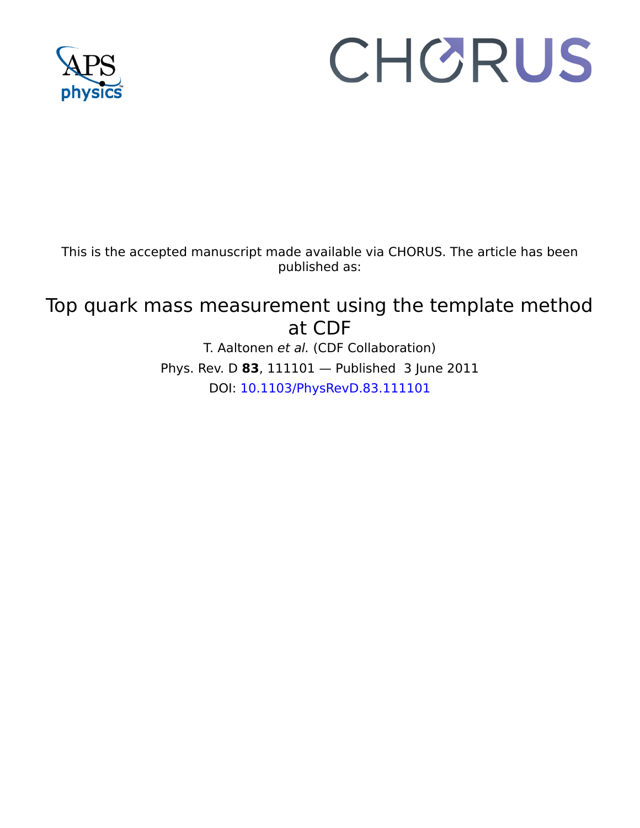

# CHORUS

This is the accepted manuscript made available via CHORUS. The article has been published as:

# Top quark mass measurement using the template method at CDF

T. Aaltonen et al. (CDF Collaboration) Phys. Rev. D **83**, 111101 — Published 3 June 2011 DOI: [10.1103/PhysRevD.83.111101](http://dx.doi.org/10.1103/PhysRevD.83.111101)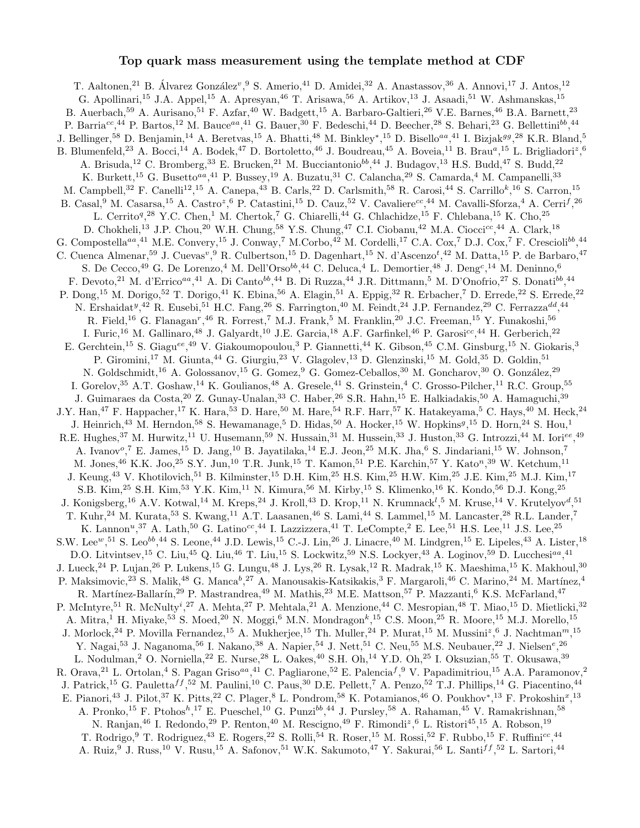### Top quark mass measurement using the template method at CDF

<sup>17</sup> M. Ethersey,<sup>-3</sup> J. Colmany,<sup>-1</sup> M. Coronent,<sup>15</sup> D. Dagenhart,<sup>15</sup> N. d'Ascen<br>
1<sup>89</sup> J. Cuews<sup>v</sup>,<sup>9</sup> R. Cublertson,<sup>15</sup> D. Dagenhart,<sup>15</sup> N. d'Ascen<br>
1<sup>49</sup> G. De Lorenzo,<sup>4</sup> M. Dell'Orso<sup>66</sup>,<sup>44</sup> G. Deluca,<sup>4</sup> L. De Certico",  ${}^{\circ}$ Y.C. Cleara,  ${}^{\circ}$ Y. Cleara,  ${}^{\circ}$ Y. Cleara,  ${}^{\circ}$ Y. Cleara,  ${}^{\circ}$ Y. Cleara,  ${}^{\circ}$ Y. Cleara,  ${}^{\circ}$ X. Cleara,  ${}^{\circ}$ X. Cleara,  ${}^{\circ}$ X. Cleara,  ${}^{\circ}$ X. Cleara,  ${}^{\circ}$ X. Cleara,  ${}^{\circ}$ X. C T. Aaltonen,<sup>21</sup> B. Álvarez González<sup>v</sup>, <sup>9</sup> S. Amerio,<sup>41</sup> D. Amidei,<sup>32</sup> A. Anastassov, <sup>36</sup> A. Annovi, <sup>17</sup> J. Antos, <sup>12</sup> G. Apollinari,<sup>15</sup> J.A. Appel,<sup>15</sup> A. Apresyan,<sup>46</sup> T. Arisawa,<sup>56</sup> A. Artikov,<sup>13</sup> J. Asaadi,<sup>51</sup> W. Ashmanskas,<sup>15</sup> B. Auerbach,<sup>59</sup> A. Aurisano,<sup>51</sup> F. Azfar,<sup>40</sup> W. Badgett,<sup>15</sup> A. Barbaro-Galtieri,<sup>26</sup> V.E. Barnes,<sup>46</sup> B.A. Barnett,<sup>23</sup> P. Barria<sup>cc</sup>,<sup>44</sup> P. Bartos,<sup>12</sup> M. Bauce<sup>aa</sup>,<sup>41</sup> G. Bauer,<sup>30</sup> F. Bedeschi,<sup>44</sup> D. Beecher,<sup>28</sup> S. Behari,<sup>23</sup> G. Bellettini<sup>bb</sup>,<sup>44</sup> J. Bellinger,<sup>58</sup> D. Benjamin,<sup>14</sup> A. Beretvas,<sup>15</sup> A. Bhatti,<sup>48</sup> M. Binkley<sup>\*</sup>,<sup>15</sup> D. Bisello<sup>aa</sup>,<sup>41</sup> I. Bizjak<sup>gg</sup>,<sup>28</sup> K.R. Bland,<sup>5</sup> B. Blumenfeld,<sup>23</sup> A. Bocci,<sup>14</sup> A. Bodek,<sup>47</sup> D. Bortoletto,<sup>46</sup> J. Boudreau,<sup>45</sup> A. Boveia,<sup>11</sup> B. Brau<sup>a</sup>,<sup>15</sup> L. Brigliadori<sup>z</sup>,<sup>6</sup> A. Brisuda,<sup>12</sup> C. Bromberg,<sup>33</sup> E. Brucken,<sup>21</sup> M. Bucciantonio<sup>bb</sup>,<sup>44</sup> J. Budagov,<sup>13</sup> H.S. Budd,<sup>47</sup> S. Budd,<sup>22</sup> K. Burkett,<sup>15</sup> G. Busetto<sup>aa</sup>,<sup>41</sup> P. Bussey,<sup>19</sup> A. Buzatu,<sup>31</sup> C. Calancha,<sup>29</sup> S. Camarda,<sup>4</sup> M. Campanelli,<sup>33</sup> M. Campbell,<sup>32</sup> F. Canelli<sup>12</sup>,<sup>15</sup> A. Canepa,<sup>43</sup> B. Carls,<sup>22</sup> D. Carlsmith,<sup>58</sup> R. Carosi,<sup>44</sup> S. Carrillo<sup>k</sup>,<sup>16</sup> S. Carron,<sup>15</sup> B. Casal, <sup>9</sup> M. Casarsa, <sup>15</sup> A. Castro<sup>z</sup>, <sup>6</sup> P. Catastini, <sup>15</sup> D. Cauz, <sup>52</sup> V. Cavaliere<sup>cc</sup>, <sup>44</sup> M. Cavalli-Sforza, <sup>4</sup> A. Cerri<sup>f</sup>, <sup>26</sup> L. Cerrito<sup>q</sup>,<sup>28</sup> Y.C. Chen,<sup>1</sup> M. Chertok,<sup>7</sup> G. Chiarelli,<sup>44</sup> G. Chlachidze,<sup>15</sup> F. Chlebana,<sup>15</sup> K. Cho,<sup>25</sup> D. Chokheli,<sup>13</sup> J.P. Chou,<sup>20</sup> W.H. Chung,<sup>58</sup> Y.S. Chung,<sup>47</sup> C.I. Ciobanu,<sup>42</sup> M.A. Ciocci<sup>cc</sup>,<sup>44</sup> A. Clark,<sup>18</sup> G. Compostella<sup>aa</sup>,<sup>41</sup> M.E. Convery,<sup>15</sup> J. Conway,<sup>7</sup> M.Corbo,<sup>42</sup> M. Cordelli,<sup>17</sup> C.A. Cox,<sup>7</sup> D.J. Cox,<sup>7</sup> F. Crescioli<sup>bb</sup>,<sup>44</sup> C. Cuenca Almenar,<sup>59</sup> J. Cuevas<sup>v</sup>, <sup>9</sup> R. Culbertson,<sup>15</sup> D. Dagenhart,<sup>15</sup> N. d'Ascenzo<sup>t</sup>,<sup>42</sup> M. Datta,<sup>15</sup> P. de Barbaro,<sup>47</sup> S. De Cecco,<sup>49</sup> G. De Lorenzo,<sup>4</sup> M. Dell'Orso<sup>bb</sup>,<sup>44</sup> C. Deluca,<sup>4</sup> L. Demortier,<sup>48</sup> J. Deng<sup>c</sup>,<sup>14</sup> M. Deninno,<sup>6</sup> F. Devoto,<sup>21</sup> M. d'Errico<sup>aa</sup>,<sup>41</sup> A. Di Canto<sup>bb</sup>,<sup>44</sup> B. Di Ruzza,<sup>44</sup> J.R. Dittmann,<sup>5</sup> M. D'Onofrio,<sup>27</sup> S. Donati<sup>bb</sup>,<sup>44</sup> P. Dong,<sup>15</sup> M. Dorigo,<sup>52</sup> T. Dorigo,<sup>41</sup> K. Ebina,<sup>56</sup> A. Elagin,<sup>51</sup> A. Eppig,<sup>32</sup> R. Erbacher,<sup>7</sup> D. Errede,<sup>22</sup> S. Errede,<sup>22</sup> N. Ershaidat<sup>y</sup>,<sup>42</sup> R. Eusebi,<sup>51</sup> H.C. Fang,<sup>26</sup> S. Farrington,<sup>40</sup> M. Feindt,<sup>24</sup> J.P. Fernandez,<sup>29</sup> C. Ferrazza<sup>dd</sup>,<sup>44</sup> R. Field,<sup>16</sup> G. Flanagan<sup>r</sup>,<sup>46</sup> R. Forrest,<sup>7</sup> M.J. Frank,<sup>5</sup> M. Franklin,<sup>20</sup> J.C. Freeman,<sup>15</sup> Y. Funakoshi,<sup>56</sup> I. Furic,<sup>16</sup> M. Gallinaro,<sup>48</sup> J. Galyardt,<sup>10</sup> J.E. Garcia,<sup>18</sup> A.F. Garfinkel,<sup>46</sup> P. Garosi<sup>cc</sup>,<sup>44</sup> H. Gerberich,<sup>22</sup> E. Gerchtein,<sup>15</sup> S. Giagu<sup>ee</sup>,<sup>49</sup> V. Giakoumopoulou,<sup>3</sup> P. Giannetti,<sup>44</sup> K. Gibson,<sup>45</sup> C.M. Ginsburg,<sup>15</sup> N. Giokaris,<sup>3</sup> P. Giromini,<sup>17</sup> M. Giunta,<sup>44</sup> G. Giurgiu,<sup>23</sup> V. Glagolev,<sup>13</sup> D. Glenzinski,<sup>15</sup> M. Gold,<sup>35</sup> D. Goldin,<sup>51</sup> N. Goldschmidt,<sup>16</sup> A. Golossanov,<sup>15</sup> G. Gomez,<sup>9</sup> G. Gomez-Ceballos,<sup>30</sup> M. Goncharov,<sup>30</sup> O. González,<sup>29</sup> I. Gorelov, <sup>35</sup> A.T. Goshaw, <sup>14</sup> K. Goulianos, <sup>48</sup> A. Gresele, <sup>41</sup> S. Grinstein, <sup>4</sup> C. Grosso-Pilcher, <sup>11</sup> R.C. Group, <sup>55</sup> J. Guimaraes da Costa,<sup>20</sup> Z. Gunay-Unalan,<sup>33</sup> C. Haber,<sup>26</sup> S.R. Hahn,<sup>15</sup> E. Halkiadakis,<sup>50</sup> A. Hamaguchi,<sup>39</sup> J.Y. Han,<sup>47</sup> F. Happacher,<sup>17</sup> K. Hara,<sup>53</sup> D. Hare,<sup>50</sup> M. Hare,<sup>54</sup> R.F. Harr,<sup>57</sup> K. Hatakeyama,<sup>5</sup> C. Hays,<sup>40</sup> M. Heck,<sup>24</sup> J. Heinrich,<sup>43</sup> M. Herndon,<sup>58</sup> S. Hewamanage,<sup>5</sup> D. Hidas,<sup>50</sup> A. Hocker,<sup>15</sup> W. Hopkins<sup>g</sup>,<sup>15</sup> D. Horn,<sup>24</sup> S. Hou,<sup>1</sup> R.E. Hughes,<sup>37</sup> M. Hurwitz,<sup>11</sup> U. Husemann,<sup>59</sup> N. Hussain,<sup>31</sup> M. Hussein,<sup>33</sup> J. Huston,<sup>33</sup> G. Introzzi,<sup>44</sup> M. Iori<sup>ee</sup>,<sup>49</sup> A. Ivanov<sup>o</sup>,<sup>7</sup> E. James,<sup>15</sup> D. Jang,<sup>10</sup> B. Jayatilaka,<sup>14</sup> E.J. Jeon,<sup>25</sup> M.K. Jha,<sup>6</sup> S. Jindariani,<sup>15</sup> W. Johnson,<sup>7</sup> M. Jones, <sup>46</sup> K.K. Joo, <sup>25</sup> S.Y. Jun, <sup>10</sup> T.R. Junk, <sup>15</sup> T. Kamon, <sup>51</sup> P.E. Karchin, <sup>57</sup> Y. Kato<sup>n</sup>, <sup>39</sup> W. Ketchum, <sup>11</sup> J. Keung,<sup>43</sup> V. Khotilovich,<sup>51</sup> B. Kilminster,<sup>15</sup> D.H. Kim,<sup>25</sup> H.S. Kim,<sup>25</sup> H.W. Kim,<sup>25</sup> J.E. Kim,<sup>25</sup> M.J. Kim,<sup>17</sup> S.B. Kim,<sup>25</sup> S.H. Kim,<sup>53</sup> Y.K. Kim,<sup>11</sup> N. Kimura,<sup>56</sup> M. Kirby,<sup>15</sup> S. Klimenko,<sup>16</sup> K. Kondo,<sup>56</sup> D.J. Kong,<sup>25</sup> J. Konigsberg,<sup>16</sup> A.V. Kotwal,<sup>14</sup> M. Kreps,<sup>24</sup> J. Kroll,<sup>43</sup> D. Krop,<sup>11</sup> N. Krumnack<sup>l</sup>,<sup>5</sup> M. Kruse,<sup>14</sup> V. Krutelyov<sup>d</sup>,<sup>51</sup> T. Kuhr,<sup>24</sup> M. Kurata,<sup>53</sup> S. Kwang,<sup>11</sup> A.T. Laasanen,<sup>46</sup> S. Lami,<sup>44</sup> S. Lammel,<sup>15</sup> M. Lancaster,<sup>28</sup> R.L. Lander,<sup>7</sup> K. Lannon<sup>n</sup>,<sup>37</sup> A. Lath,<sup>50</sup> G. Latino<sup>cc</sup>,<sup>44</sup> I. Lazzizzera,<sup>41</sup> T. LeCompte,<sup>2</sup> E. Lee,<sup>51</sup> H.S. Lee,<sup>11</sup> J.S. Lee,<sup>25</sup> S.W. Lee<sup>w</sup>,<sup>51</sup> S. Leo<sup>bb</sup>,<sup>44</sup> S. Leone,<sup>44</sup> J.D. Lewis,<sup>15</sup> C.-J. Lin,<sup>26</sup> J. Linacre,<sup>40</sup> M. Lindgren,<sup>15</sup> E. Lipeles,<sup>43</sup> A. Lister,<sup>18</sup> D.O. Litvintsev,  $^{15}$  C. Liu,  $^{45}$  Q. Liu,  $^{46}$  T. Liu,  $^{15}$  S. Lockwitz,  $^{59}$  N.S. Lockyer,  $^{43}$  A. Loginov,  $^{59}$  D. Lucchesi $^{a}$ ,  $^{41}$ J. Lueck,<sup>24</sup> P. Lujan,<sup>26</sup> P. Lukens,<sup>15</sup> G. Lungu,<sup>48</sup> J. Lys,<sup>26</sup> R. Lysak,<sup>12</sup> R. Madrak,<sup>15</sup> K. Maeshima,<sup>15</sup> K. Makhoul,<sup>30</sup> P. Maksimovic,<sup>23</sup> S. Malik,<sup>48</sup> G. Manca<sup>b</sup>,<sup>27</sup> A. Manousakis-Katsikakis,<sup>3</sup> F. Margaroli,<sup>46</sup> C. Marino,<sup>24</sup> M. Martínez,<sup>4</sup> R. Martínez-Ballarín,<sup>29</sup> P. Mastrandrea,<sup>49</sup> M. Mathis,<sup>23</sup> M.E. Mattson,<sup>57</sup> P. Mazzanti,<sup>6</sup> K.S. McFarland,<sup>47</sup> P. McIntyre,<sup>51</sup> R. McNulty<sup>i</sup>,<sup>27</sup> A. Mehta,<sup>27</sup> P. Mehtala,<sup>21</sup> A. Menzione,<sup>44</sup> C. Mesropian,<sup>48</sup> T. Miao,<sup>15</sup> D. Mietlicki,<sup>32</sup> A. Mitra,<sup>1</sup> H. Miyake,<sup>53</sup> S. Moed,<sup>20</sup> N. Moggi,<sup>6</sup> M.N. Mondragon<sup>k</sup>,<sup>15</sup> C.S. Moon,<sup>25</sup> R. Moore,<sup>15</sup> M.J. Morello,<sup>15</sup> J. Morlock,  $2^4$  P. Movilla Fernandez,  $^{15}$  A. Mukherjee,  $^{15}$  Th. Muller,  $^{24}$  P. Murat,  $^{15}$  M. Mussini<sup>z</sup>,  $^6$  J. Nachtman<sup>m</sup>,  $^{15}$ Y. Nagai,<sup>53</sup> J. Naganoma,<sup>56</sup> I. Nakano,<sup>38</sup> A. Napier,<sup>54</sup> J. Nett,<sup>51</sup> C. Neu,<sup>55</sup> M.S. Neubauer,<sup>22</sup> J. Nielsen<sup>e</sup>,<sup>26</sup> L. Nodulman,<sup>2</sup> O. Norniella,<sup>22</sup> E. Nurse,<sup>28</sup> L. Oakes,<sup>40</sup> S.H. Oh,<sup>14</sup> Y.D. Oh,<sup>25</sup> I. Oksuzian,<sup>55</sup> T. Okusawa,<sup>39</sup> R. Orava,<sup>21</sup> L. Ortolan,<sup>4</sup> S. Pagan Griso<sup>aa</sup>,<sup>41</sup> C. Pagliarone,<sup>52</sup> E. Palencia<sup>f</sup>,<sup>9</sup> V. Papadimitriou,<sup>15</sup> A.A. Paramonov,<sup>2</sup> J. Patrick,<sup>15</sup> G. Pauletta<sup>ff</sup>,<sup>52</sup> M. Paulini,<sup>10</sup> C. Paus,<sup>30</sup> D.E. Pellett,<sup>7</sup> A. Penzo,<sup>52</sup> T.J. Phillips,<sup>14</sup> G. Piacentino,<sup>44</sup> E. Pianori,<sup>43</sup> J. Pilot,<sup>37</sup> K. Pitts,<sup>22</sup> C. Plager,<sup>8</sup> L. Pondrom,<sup>58</sup> K. Potamianos,<sup>46</sup> O. Poukhov\*,<sup>13</sup> F. Prokoshin<sup>x</sup>,<sup>13</sup> A. Pronko,<sup>15</sup> F. Ptohos<sup>h</sup>,<sup>17</sup> E. Pueschel,<sup>10</sup> G. Punzi<sup>bb</sup>,<sup>44</sup> J. Pursley,<sup>58</sup> A. Rahaman,<sup>45</sup> V. Ramakrishnan,<sup>58</sup> N. Ranjan,<sup>46</sup> I. Redondo,<sup>29</sup> P. Renton,<sup>40</sup> M. Rescigno,<sup>49</sup> F. Rimondi<sup>z</sup>,<sup>6</sup> L. Ristori<sup>45</sup>,<sup>15</sup> A. Robson,<sup>19</sup> T. Rodrigo, <sup>9</sup> T. Rodriguez, <sup>43</sup> E. Rogers, <sup>22</sup> S. Rolli, <sup>54</sup> R. Roser, <sup>15</sup> M. Rossi, <sup>52</sup> F. Rubbo, <sup>15</sup> F. Ruffini<sup>cc</sup>, <sup>44</sup> A. Ruiz,<sup>9</sup> J. Russ,<sup>10</sup> V. Rusu,<sup>15</sup> A. Safonov,<sup>51</sup> W.K. Sakumoto,<sup>47</sup> Y. Sakurai,<sup>56</sup> L. Santi<sup>ff</sup>,<sup>52</sup> L. Sartori,<sup>44</sup>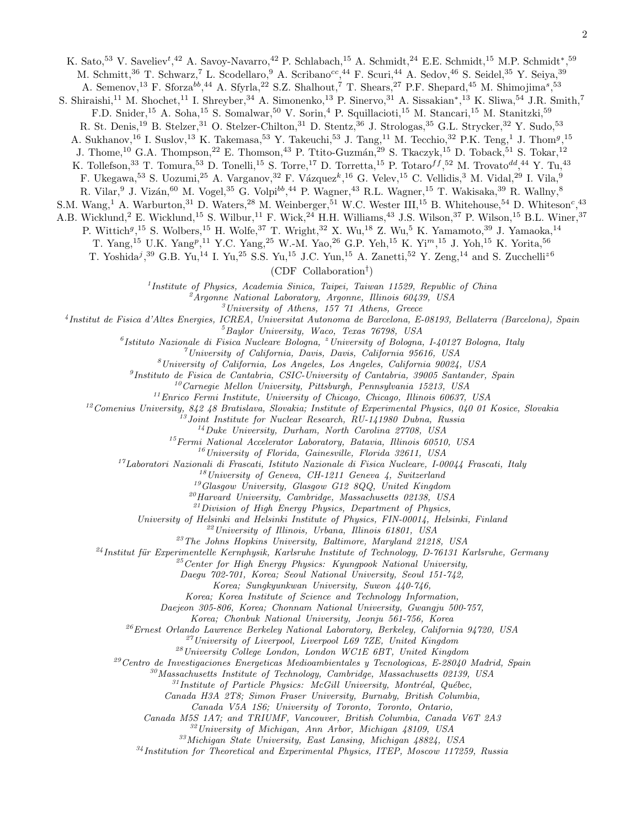K. Sato,<sup>53</sup> V. Saveliev<sup>t</sup>,<sup>42</sup> A. Savoy-Navarro,<sup>42</sup> P. Schlabach,<sup>15</sup> A. Schmidt,<sup>24</sup> E.E. Schmidt,<sup>15</sup> M.P. Schmidt<sup>\*</sup>,<sup>59</sup> M. Schmitt,<sup>36</sup> T. Schwarz,<sup>7</sup> L. Scodellaro,<sup>9</sup> A. Scribano<sup>cc</sup>,<sup>44</sup> F. Scuri,<sup>44</sup> A. Sedov,<sup>46</sup> S. Seidel,<sup>35</sup> Y. Seiya,<sup>39</sup>

A. Semenov,<sup>13</sup> F. Sforza<sup>bb</sup>,<sup>44</sup> A. Sfyrla,<sup>22</sup> S.Z. Shalhout,<sup>7</sup> T. Shears,<sup>27</sup> P.F. Shepard,<sup>45</sup> M. Shimojima<sup>s</sup>,<sup>53</sup>

S. Shiraishi,<sup>11</sup> M. Shochet,<sup>11</sup> I. Shreyber,<sup>34</sup> A. Simonenko,<sup>13</sup> P. Sinervo,<sup>31</sup> A. Sissakian<sup>\*</sup>,<sup>13</sup> K. Sliwa,<sup>54</sup> J.R. Smith,<sup>7</sup>

F.D. Snider,<sup>15</sup> A. Soha,<sup>15</sup> S. Somalwar,<sup>50</sup> V. Sorin,<sup>4</sup> P. Squillacioti,<sup>15</sup> M. Stancari,<sup>15</sup> M. Stanitzki,<sup>59</sup>

R. St. Denis,<sup>19</sup> B. Stelzer,<sup>31</sup> O. Stelzer-Chilton,<sup>31</sup> D. Stentz,<sup>36</sup> J. Strologas,<sup>35</sup> G.L. Strycker,<sup>32</sup> Y. Sudo,<sup>53</sup>

A. Sukhanov,<sup>16</sup> I. Suslov,<sup>13</sup> K. Takemasa,<sup>53</sup> Y. Takeuchi,<sup>53</sup> J. Tang,<sup>11</sup> M. Tecchio,<sup>32</sup> P.K. Teng,<sup>1</sup> J. Thom<sup>g</sup>,<sup>15</sup>

J. Thome,<sup>10</sup> G.A. Thompson,<sup>22</sup> E. Thomson,<sup>43</sup> P. Ttito-Guzmán,<sup>29</sup> S. Tkaczyk,<sup>15</sup> D. Toback,<sup>51</sup> S. Tokar,<sup>12</sup>

K. Tollefson,<sup>33</sup> T. Tomura,<sup>53</sup> D. Tonelli,<sup>15</sup> S. Torre,<sup>17</sup> D. Torretta,<sup>15</sup> P. Totaro<sup>f f</sup>,<sup>52</sup> M. Trovato<sup>dd</sup>,<sup>44</sup> Y. Tu,<sup>43</sup>

F. Ukegawa,<sup>53</sup> S. Uozumi,<sup>25</sup> A. Varganov,<sup>32</sup> F. Vázquez<sup>k</sup>,<sup>16</sup> G. Velev,<sup>15</sup> C. Vellidis,<sup>3</sup> M. Vidal,<sup>29</sup> I. Vila,<sup>9</sup>

R. Vilar, <sup>9</sup> J. Vizán, <sup>60</sup> M. Vogel, <sup>35</sup> G. Volpi<sup>bb</sup>, <sup>44</sup> P. Wagner, <sup>43</sup> R.L. Wagner, <sup>15</sup> T. Wakisaka, <sup>39</sup> R. Wallny, <sup>8</sup>

S.M. Wang,<sup>1</sup> A. Warburton,<sup>31</sup> D. Waters,<sup>28</sup> M. Weinberger,<sup>51</sup> W.C. Wester III,<sup>15</sup> B. Whitehouse,<sup>54</sup> D. Whiteson<sup>c</sup>,<sup>43</sup>

A.B. Wicklund,<sup>2</sup> E. Wicklund,<sup>15</sup> S. Wilbur,<sup>11</sup> F. Wick,<sup>24</sup> H.H. Williams,<sup>43</sup> J.S. Wilson,<sup>37</sup> P. Wilson,<sup>15</sup> B.L. Winer,<sup>37</sup>

P. Wittich<sup>g<sub>, 15</sub> S. Wolbers, <sup>15</sup> H. Wolfe, <sup>37</sup> T. Wright, <sup>32</sup> X. Wu, <sup>18</sup> Z. Wu, <sup>5</sup> K. Yamamoto, <sup>39</sup> J. Yamaoka, <sup>14</sup></sup>

T. Yang,<sup>15</sup> U.K. Yang<sup>p</sup>,<sup>11</sup> Y.C. Yang,<sup>25</sup> W.-M. Yao,<sup>26</sup> G.P. Yeh,<sup>15</sup> K. Yi<sup>m</sup>,<sup>15</sup> J. Yoh,<sup>15</sup> K. Yorita,<sup>56</sup>

T. Yoshida<sup>j</sup>,<sup>39</sup> G.B. Yu,<sup>14</sup> I. Yu,<sup>25</sup> S.S. Yu,<sup>15</sup> J.C. Yun,<sup>15</sup> A. Zanetti,<sup>52</sup> Y. Zeng,<sup>14</sup> and S. Zucchelli<sup>z6</sup>

(CDF Collaboration† )

<sup>1</sup>Institute of Physics, Academia Sinica, Taipei, Taiwan 11529, Republic of China

 $^2$ Argonne National Laboratory, Argonne, Illinois 60439, USA

 $3$ University of Athens, 157  $71$  Athens, Greece

4 Institut de Fisica d'Altes Energies, ICREA, Universitat Autonoma de Barcelona, E-08193, Bellaterra (Barcelona), Spain

 ${}^{5}$ Baylor University, Waco, Texas  $76798$ , USA

<sup>6</sup> Istituto Nazionale di Fisica Nucleare Bologna, <sup>z</sup> University of Bologna, I-40127 Bologna, Italy

<sup>7</sup>University of California, Davis, Davis, California 95616, USA

 ${}^{8}$ University of California, Los Angeles, Los Angeles, California 90024, USA

<sup>9</sup>Instituto de Fisica de Cantabria, CSIC-University of Cantabria, 39005 Santander, Spain

 $10$ Carnegie Mellon University, Pittsburgh, Pennsylvania 15213, USA

 $11$ Enrico Fermi Institute, University of Chicago, Chicago, Illinois 60637, USA

 $12$ Comenius University, 842 48 Bratislava, Slovakia; Institute of Experimental Physics, 040 01 Kosice, Slovakia

 $13$ Joint Institute for Nuclear Research, RU-141980 Dubna, Russia

 $14$ Duke University, Durham, North Carolina 27708, USA

 $15$ Fermi National Accelerator Laboratory, Batavia, Illinois 60510, USA

 $^{16}$ University of Florida, Gainesville, Florida 32611, USA

 $17Laboratori Nazionali di Frascati, Istituto Nazionale di Fisica Nucleare, I-00044 Frascati, Italy$ 

 $18$ University of Geneva, CH-1211 Geneva 4, Switzerland

 $^{19}G$ lasgow University, Glasgow G12 8QQ, United Kingdom

<sup>20</sup>Harvard University, Cambridge, Massachusetts 02138, USA

 $^{21}$ Division of High Energy Physics, Department of Physics,

University of Helsinki and Helsinki Institute of Physics, FIN-00014, Helsinki, Finland

 $22$ University of Illinois, Urbana, Illinois 61801, USA

 $23$ The Johns Hopkins University, Baltimore, Maryland 21218, USA

 $^{24}$ Institut für Experimentelle Kernphysik, Karlsruhe Institute of Technology, D-76131 Karlsruhe, Germany

 $^{25}$ Center for High Energy Physics: Kyungpook National University,

Daegu 702-701, Korea; Seoul National University, Seoul 151-742,

Korea; Sungkyunkwan University, Suwon 440-746,

Korea; Korea Institute of Science and Technology Information,

Daejeon 305-806, Korea; Chonnam National University, Gwangju 500-757,

Korea; Chonbuk National University, Jeonju 561-756, Korea

 $^{26}$ Ernest Orlando Lawrence Berkeley National Laboratory, Berkeley, California 94720, USA

 $^{27}$ University of Liverpool, Liverpool L69 7ZE, United Kingdom

 $^{28}$ University College London, London WC1E 6BT, United Kingdom

 $29$ Centro de Investigaciones Energeticas Medioambientales y Tecnologicas, E-28040 Madrid, Spain

 $30$ Massachusetts Institute of Technology, Cambridge, Massachusetts 02139, USA

 $31$ Institute of Particle Physics: McGill University, Montréal, Québec,

Canada H3A 2T8; Simon Fraser University, Burnaby, British Columbia,

Canada V5A 1S6; University of Toronto, Toronto, Ontario,

Canada M5S 1A7; and TRIUMF, Vancouver, British Columbia, Canada V6T 2A3

<sup>32</sup>University of Michigan, Ann Arbor, Michigan 48109, USA

<sup>33</sup>Michigan State University, East Lansing, Michigan 48824, USA

 $34$ Institution for Theoretical and Experimental Physics, ITEP, Moscow 117259, Russia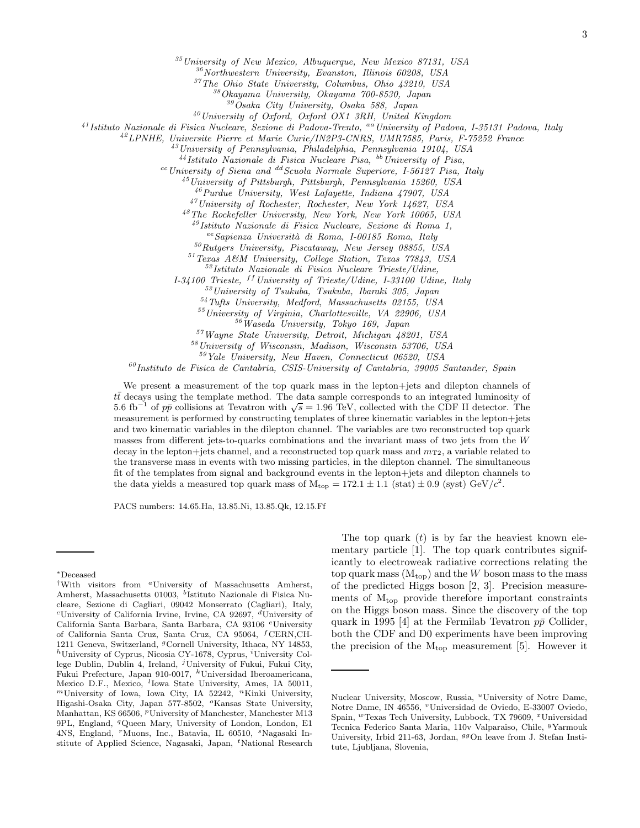<sup>35</sup>University of New Mexico, Albuquerque, New Mexico 87131, USA

<sup>36</sup>Northwestern University, Evanston, Illinois 60208, USA

<sup>37</sup>The Ohio State University, Columbus, Ohio 43210, USA

<sup>38</sup>Okayama University, Okayama 700-8530, Japan

<sup>39</sup>Osaka City University, Osaka 588, Japan

<sup>40</sup>University of Oxford, Oxford OX1 3RH, United Kingdom

 $^{41}$ Istituto Nazionale di Fisica Nucleare, Sezione di Padova-Trento, <sup>aa</sup>University of Padova, I-35131 Padova, Italy

<sup>42</sup>LPNHE, Universite Pierre et Marie Curie/IN2P3-CNRS, UMR7585, Paris, F-75252 France

<sup>43</sup>University of Pennsylvania, Philadelphia, Pennsylvania 19104, USA

 $^{44}$ Istituto Nazionale di Fisica Nucleare Pisa,  $^{bb}$  University of Pisa,

 $c$ <sup>cc</sup>University of Siena and <sup>dd</sup> Scuola Normale Superiore, I-56127 Pisa, Italy

 $^{45}$ University of Pittsburgh, Pittsburgh, Pennsylvania 15260, USA

<sup>46</sup>Purdue University, West Lafayette, Indiana 47907, USA

<sup>47</sup>University of Rochester, Rochester, New York 14627, USA

<sup>48</sup>The Rockefeller University, New York, New York 10065, USA

<sup>49</sup>Istituto Nazionale di Fisica Nucleare, Sezione di Roma 1,

ee Sapienza Università di Roma, I-00185 Roma, Italy

 $50Rutgers$  University, Piscataway, New Jersey 08855, USA

<sup>51</sup>Texas A&M University, College Station, Texas 77843, USA

<sup>52</sup>Istituto Nazionale di Fisica Nucleare Trieste/Udine,

 $I-34100$  Trieste,  $^{ff}$  University of Trieste/Udine, I-33100 Udine, Italy

<sup>53</sup>University of Tsukuba, Tsukuba, Ibaraki 305, Japan

<sup>54</sup>Tufts University, Medford, Massachusetts 02155, USA

<sup>55</sup>University of Virginia, Charlottesville, VA 22906, USA

<sup>56</sup>Waseda University, Tokyo 169, Japan

<sup>57</sup>Wayne State University, Detroit, Michigan 48201, USA

<sup>58</sup>University of Wisconsin, Madison, Wisconsin 53706, USA

<sup>59</sup>Yale University, New Haven, Connecticut 06520, USA

 $^{60}$ Instituto de Fisica de Cantabria, CSIS-University of Cantabria, 39005 Santander, Spain

We present a measurement of the top quark mass in the lepton+jets and dilepton channels of  $t\bar{t}$  decays using the template method. The data sample corresponds to an integrated luminosity of 5.6 fb<sup>-1</sup> of  $p\bar{p}$  collisions at Tevatron with  $\sqrt{s} = 1.96$  TeV, collected with the CDF II detector. The measurement is performed by constructing templates of three kinematic variables in the lepton+jets and two kinematic variables in the dilepton channel. The variables are two reconstructed top quark masses from different jets-to-quarks combinations and the invariant mass of two jets from the W decay in the lepton+jets channel, and a reconstructed top quark mass and  $m_{\text{T2}}$ , a variable related to the transverse mass in events with two missing particles, in the dilepton channel. The simultaneous fit of the templates from signal and background events in the lepton+jets and dilepton channels to the data yields a measured top quark mass of  $M_{\text{top}} = 172.1 \pm 1.1$  (stat)  $\pm 0.9$  (syst)  $\text{GeV}/c^2$ .

PACS numbers: 14.65.Ha, 13.85.Ni, 13.85.Qk, 12.15.Ff

The top quark  $(t)$  is by far the heaviest known elementary particle [1]. The top quark contributes significantly to electroweak radiative corrections relating the top quark mass  $(M_{top})$  and the W boson mass to the mass of the predicted Higgs boson [2, 3]. Precision measurements of  $M_{\text{top}}$  provide therefore important constraints on the Higgs boson mass. Since the discovery of the top quark in 1995 [4] at the Fermilab Tevatron  $p\bar{p}$  Collider, both the CDF and D0 experiments have been improving the precision of the  $M_{\text{top}}$  measurement [5]. However it

<sup>∗</sup>Deceased

<sup>†</sup>With visitors from <sup>a</sup>University of Massachusetts Amherst, Amherst, Massachusetts 01003, <sup>b</sup>Istituto Nazionale di Fisica Nucleare, Sezione di Cagliari, 09042 Monserrato (Cagliari), Italy, <sup>c</sup>University of California Irvine, Irvine, CA 92697,  $d$ University of California Santa Barbara, Santa Barbara, CA 93106 <sup>e</sup>University of California Santa Cruz, Santa Cruz, CA 95064, <sup>f</sup>CERN,CH-1211 Geneva, Switzerland, <sup>g</sup>Cornell University, Ithaca, NY 14853,  $h$ University of Cyprus, Nicosia CY-1678, Cyprus, <sup>*i*</sup>University College Dublin, Dublin 4, Ireland,  $\ell$ University of Fukui, Fukui City, Fukui Prefecture, Japan 910-0017, <sup>k</sup>Universidad Iberoamericana, Mexico D.F., Mexico, <sup>l</sup>Iowa State University, Ames, IA 50011,  $<sup>m</sup>$ University of Iowa, Iowa City, IA 52242,  $<sup>n</sup>$ Kinki University,</sup></sup> Higashi-Osaka City, Japan 577-8502, <sup>o</sup>Kansas State University, Manhattan, KS 66506, <sup>*p*</sup>University of Manchester, Manchester M13 9PL, England, <sup>q</sup>Queen Mary, University of London, London, E1 4NS, England, <sup>r</sup>Muons, Inc., Batavia, IL 60510, <sup>s</sup>Nagasaki Institute of Applied Science, Nagasaki, Japan, <sup>t</sup>National Research

Nuclear University, Moscow, Russia, <sup>u</sup>University of Notre Dame, Notre Dame, IN 46556, <sup>v</sup>Universidad de Oviedo, E-33007 Oviedo, Spain, <sup>w</sup>Texas Tech University, Lubbock, TX 79609, <sup>x</sup>Universidad Tecnica Federico Santa Maria, 110v Valparaiso, Chile, <sup>y</sup>Yarmouk University, Irbid 211-63, Jordan, <sup>99</sup>On leave from J. Stefan Institute, Ljubljana, Slovenia,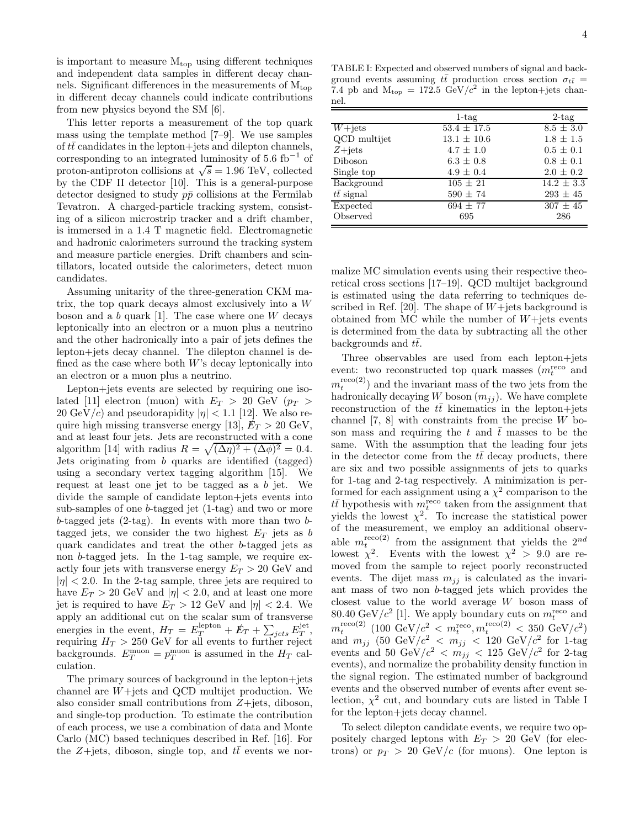is important to measure  $M_{\text{top}}$  using different techniques and independent data samples in different decay channels. Significant differences in the measurements of  $M_{top}$ in different decay channels could indicate contributions from new physics beyond the SM [6].

This letter reports a measurement of the top quark mass using the template method [7–9]. We use samples of  $t\bar{t}$  candidates in the lepton+jets and dilepton channels, corresponding to an integrated luminosity of  $5.6 \text{ fb}^{-1}$  of proton-antiproton collisions at  $\sqrt{s} = 1.96$  TeV, collected by the CDF II detector [10]. This is a general-purpose detector designed to study  $p\bar{p}$  collisions at the Fermilab Tevatron. A charged-particle tracking system, consisting of a silicon microstrip tracker and a drift chamber, is immersed in a 1.4 T magnetic field. Electromagnetic and hadronic calorimeters surround the tracking system and measure particle energies. Drift chambers and scintillators, located outside the calorimeters, detect muon candidates.

Assuming unitarity of the three-generation CKM matrix, the top quark decays almost exclusively into a W boson and a  $b$  quark [1]. The case where one  $W$  decays leptonically into an electron or a muon plus a neutrino and the other hadronically into a pair of jets defines the lepton+jets decay channel. The dilepton channel is defined as the case where both  $W$ 's decay leptonically into an electron or a muon plus a neutrino.

Lepton+jets events are selected by requiring one isolated [11] electron (muon) with  $E_T > 20$  GeV ( $p_T >$ 20  $\text{GeV}/c$ ) and pseudorapidity  $|\eta| < 1.1$  [12]. We also require high missing transverse energy [13],  $E_T > 20$  GeV, and at least four jets. Jets are reconstructed with a cone algorithm [14] with radius  $R = \sqrt{(\Delta \eta)^2 + (\Delta \phi)^2} = 0.4$ . Jets originating from b quarks are identified (tagged) using a secondary vertex tagging algorithm [15]. We request at least one jet to be tagged as a b jet. We divide the sample of candidate lepton+jets events into sub-samples of one b-tagged jet (1-tag) and two or more b-tagged jets  $(2-\text{tag})$ . In events with more than two btagged jets, we consider the two highest  $E_T$  jets as b quark candidates and treat the other b-tagged jets as non b-tagged jets. In the 1-tag sample, we require exactly four jets with transverse energy  $E_T > 20$  GeV and  $|\eta|$  < 2.0. In the 2-tag sample, three jets are required to have  $E_T > 20$  GeV and  $|\eta| < 2.0$ , and at least one more jet is required to have  $E_T > 12$  GeV and  $|\eta| < 2.4$ . We apply an additional cut on the scalar sum of transverse energies in the event,  $H_T = E_T^{\text{lepton}} + \cancel{E}_T + \sum_{jets} E_T^{\text{jet}}$ , requiring  $H_T > 250$  GeV for all events to further reject backgrounds.  $E_T^{\text{muon}} = p_T^{\text{muon}}$  is assumed in the  $H_T$  calculation.

The primary sources of background in the lepton+jets channel are W+jets and QCD multijet production. We also consider small contributions from  $Z +$ jets, diboson, and single-top production. To estimate the contribution of each process, we use a combination of data and Monte Carlo (MC) based techniques described in Ref. [16]. For the Z+jets, diboson, single top, and  $t\bar{t}$  events we nor-

TABLE I: Expected and observed numbers of signal and background events assuming  $t\bar{t}$  production cross section  $\sigma_{t\bar{t}} =$ 7.4 pb and  $M_{top} = 172.5 \text{ GeV}/c^2$  in the lepton+jets channel.

|                   | $1$ -tag            | $2$ -tag       |
|-------------------|---------------------|----------------|
| $W+{\rm jets}$    | $53.4 \pm 17.5$     | $8.5 \pm 3.0$  |
| QCD multijet      | $13.1 \pm 10.6$     | $1.8 \pm 1.5$  |
| $Z + jets$        | $4.7 \pm 1.0$       | $0.5 \pm 0.1$  |
| Diboson           | $6.3 \pm 0.8$       | $0.8 \pm 0.1$  |
| Single top        | $4.9 \pm 0.4$       | $2.0 \pm 0.2$  |
| Background        | $\sqrt{105} \pm 21$ | $14.2 \pm 3.3$ |
| $t\bar{t}$ signal | $590 \pm 74$        | $293 \pm 45$   |
| Expected          | $694 \pm 77$        | $307 \pm 45$   |
| Observed          | 695                 | 286            |

malize MC simulation events using their respective theoretical cross sections [17–19]. QCD multijet background is estimated using the data referring to techniques described in Ref. [20]. The shape of  $W+$ jets background is obtained from MC while the number of  $W+$ jets events is determined from the data by subtracting all the other backgrounds and  $t\bar{t}$ .

Three observables are used from each lepton+jets event: two reconstructed top quark masses  $(m_t^{\text{reco}})$  and  $m_t^{\text{reco}(2)}$  and the invariant mass of the two jets from the hadronically decaying  $W$  boson  $(m_{jj})$ . We have complete reconstruction of the  $t\bar{t}$  kinematics in the lepton+jets channel  $[7, 8]$  with constraints from the precise W boson mass and requiring the t and  $\bar{t}$  masses to be the same. With the assumption that the leading four jets in the detector come from the  $t\bar{t}$  decay products, there are six and two possible assignments of jets to quarks for 1-tag and 2-tag respectively. A minimization is performed for each assignment using a  $\chi^2$  comparison to the  $t\bar{t}$  hypothesis with  $m_t^{\text{reco}}$  taken from the assignment that yields the lowest  $\chi^2$ . To increase the statistical power of the measurement, we employ an additional observable  $m_t^{\text{reco}(2)}$  from the assignment that yields the  $2^{nd}$ lowest  $\chi^2$ . Events with the lowest  $\chi^2 > 9.0$  are removed from the sample to reject poorly reconstructed events. The dijet mass  $m_{jj}$  is calculated as the invariant mass of two non b-tagged jets which provides the closest value to the world average W boson mass of 80.40 GeV/ $c^2$  [1]. We apply boundary cuts on  $m_t^{\text{reco}}$  and  $m_t^{\rm reco(2)}$  (100 GeV/ $c_{\rm s}^2 < m_t^{\rm reco}, m_t^{\rm reco(2)} < 350$  GeV/ $c_{\rm s}^2$ ) and  $m_{jj}$  (50 GeV/ $c^2$  <  $m_{jj}$  < 120 GeV/ $c^2$  for 1-tag events and 50 GeV/ $c^2$  <  $m_{jj}$  < 125 GeV/ $c^2$  for 2-tag events), and normalize the probability density function in the signal region. The estimated number of background events and the observed number of events after event selection,  $\chi^2$  cut, and boundary cuts are listed in Table I for the lepton+jets decay channel.

To select dilepton candidate events, we require two oppositely charged leptons with  $E_T > 20$  GeV (for electrons) or  $p_T > 20$  GeV/c (for muons). One lepton is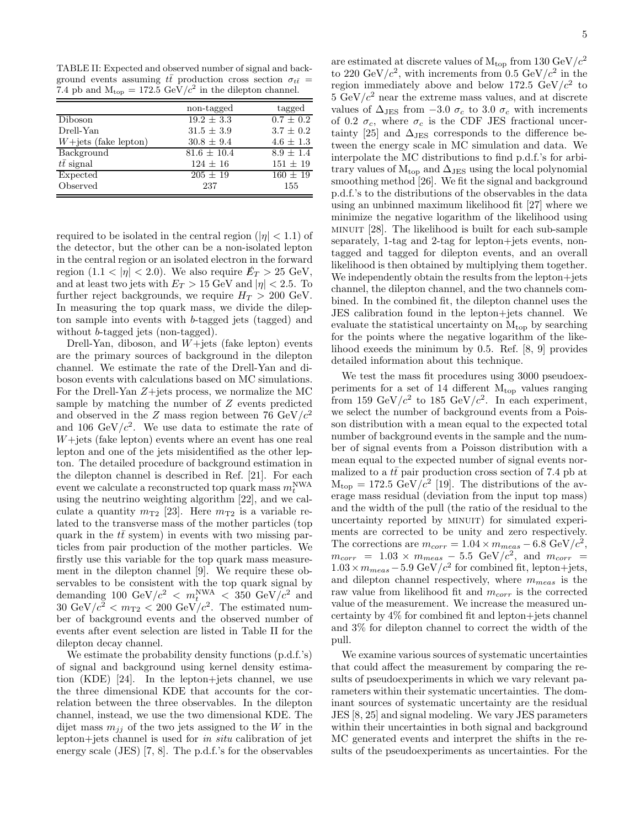TABLE II: Expected and observed number of signal and background events assuming  $t\bar{t}$  production cross section  $\sigma_{t\bar{t}}=$ 7.4 pb and  $M_{\text{top}} = 172.5 \text{ GeV}/c^2$  in the dilepton channel.

|                                 | non-tagged      | tagged        |
|---------------------------------|-----------------|---------------|
| Diboson                         | $19.2 \pm 3.3$  | $0.7 \pm 0.2$ |
| Drell-Yan                       | $31.5 \pm 3.9$  | $3.7 \pm 0.2$ |
| $W + \text{jets}$ (fake lepton) | $30.8 \pm 9.4$  | $4.6 \pm 1.3$ |
| Background                      | $81.6 \pm 10.4$ | $8.9 \pm 1.4$ |
| $t\bar{t}$ signal               | $124 \pm 16$    | $151 \pm 19$  |
| Expected                        | $205 \pm 19$    | $160 \pm 19$  |
| Observed                        | 237             | 155           |

required to be isolated in the central region ( $|\eta| < 1.1$ ) of the detector, but the other can be a non-isolated lepton in the central region or an isolated electron in the forward region  $(1.1 < |\eta| < 2.0)$ . We also require  $E_T > 25$  GeV, and at least two jets with  $E_T > 15$  GeV and  $|\eta| < 2.5$ . To further reject backgrounds, we require  $H_T > 200$  GeV. In measuring the top quark mass, we divide the dilepton sample into events with b-tagged jets (tagged) and without *b*-tagged jets (non-tagged).

Drell-Yan, diboson, and  $W +$ jets (fake lepton) events are the primary sources of background in the dilepton channel. We estimate the rate of the Drell-Yan and diboson events with calculations based on MC simulations. For the Drell-Yan Z+jets process, we normalize the MC sample by matching the number of Z events predicted and observed in the Z mass region between 76 GeV/ $c^2$ and 106 GeV/ $c^2$ . We use data to estimate the rate of  $W + \text{jets}$  (fake lepton) events where an event has one real lepton and one of the jets misidentified as the other lepton. The detailed procedure of background estimation in the dilepton channel is described in Ref. [21]. For each event we calculate a reconstructed top quark mass  $m_t^{\rm NWA}$ using the neutrino weighting algorithm [22], and we calculate a quantity  $m_{\text{T2}}$  [23]. Here  $m_{\text{T2}}$  is a variable related to the transverse mass of the mother particles (top quark in the  $t\bar{t}$  system) in events with two missing particles from pair production of the mother particles. We firstly use this variable for the top quark mass measurement in the dilepton channel [9]. We require these observables to be consistent with the top quark signal by demanding 100 GeV/ $c^2$  <  $m_t^{\text{NWA}}$  < 350 GeV/ $c^2$  and  $30 \text{ GeV}/c^2 < m_{\text{T2}} < 200 \text{ GeV}/c^2$ . The estimated number of background events and the observed number of events after event selection are listed in Table II for the dilepton decay channel.

We estimate the probability density functions (p.d.f.'s) of signal and background using kernel density estimation (KDE) [24]. In the lepton+jets channel, we use the three dimensional KDE that accounts for the correlation between the three observables. In the dilepton channel, instead, we use the two dimensional KDE. The dijet mass  $m_{ij}$  of the two jets assigned to the W in the lepton+jets channel is used for in situ calibration of jet energy scale (JES) [7, 8]. The p.d.f.'s for the observables are estimated at discrete values of  $M_{\text{top}}$  from 130 GeV/ $c^2$ to 220 GeV/ $c^2$ , with increments from 0.5 GeV/ $c^2$  in the region immediately above and below 172.5  $GeV/c^2$  to  $5 \text{ GeV}/c^2$  near the extreme mass values, and at discrete values of  $\Delta_{\text{JES}}$  from  $-3.0 \sigma_c$  to 3.0  $\sigma_c$  with increments of 0.2  $\sigma_c$ , where  $\sigma_c$  is the CDF JES fractional uncertainty [25] and  $\Delta_{\text{JES}}$  corresponds to the difference between the energy scale in MC simulation and data. We interpolate the MC distributions to find p.d.f.'s for arbitrary values of  $M_{top}$  and  $\Delta_{JES}$  using the local polynomial smoothing method [26]. We fit the signal and background p.d.f.'s to the distributions of the observables in the data using an unbinned maximum likelihood fit [27] where we minimize the negative logarithm of the likelihood using minuit [28]. The likelihood is built for each sub-sample separately, 1-tag and 2-tag for lepton+jets events, nontagged and tagged for dilepton events, and an overall likelihood is then obtained by multiplying them together. We independently obtain the results from the lepton+jets channel, the dilepton channel, and the two channels combined. In the combined fit, the dilepton channel uses the JES calibration found in the lepton+jets channel. We evaluate the statistical uncertainty on  $M_{\text{top}}$  by searching for the points where the negative logarithm of the likelihood exeeds the minimum by 0.5. Ref. [8, 9] provides detailed information about this technique.

We test the mass fit procedures using 3000 pseudoexperiments for a set of 14 different  $M_{\text{top}}$  values ranging from 159 GeV/ $c^2$  to 185 GeV/ $c^2$ . In each experiment, we select the number of background events from a Poisson distribution with a mean equal to the expected total number of background events in the sample and the number of signal events from a Poisson distribution with a mean equal to the expected number of signal events normalized to a  $t\bar{t}$  pair production cross section of 7.4 pb at  $M_{\text{top}} = 172.5 \text{ GeV}/c^2$  [19]. The distributions of the average mass residual (deviation from the input top mass) and the width of the pull (the ratio of the residual to the uncertainty reported by MINUIT) for simulated experiments are corrected to be unity and zero respectively. The corrections are  $m_{corr} = 1.04 \times m_{meas} - 6.8 \text{ GeV}/c^2$ ,  $m_{corr}$  = 1.03 ×  $m_{meas}$  – 5.5 GeV/ $c^2$ , and  $m_{corr}$  =  $1.03 \times m_{meas} - 5.9 \text{ GeV}/c^2$  for combined fit, lepton+jets, and dilepton channel respectively, where  $m_{meas}$  is the raw value from likelihood fit and  $m_{corr}$  is the corrected value of the measurement. We increase the measured uncertainty by 4% for combined fit and lepton+jets channel and 3% for dilepton channel to correct the width of the pull.

We examine various sources of systematic uncertainties that could affect the measurement by comparing the results of pseudoexperiments in which we vary relevant parameters within their systematic uncertainties. The dominant sources of systematic uncertainty are the residual JES [8, 25] and signal modeling. We vary JES parameters within their uncertainties in both signal and background MC generated events and interpret the shifts in the results of the pseudoexperiments as uncertainties. For the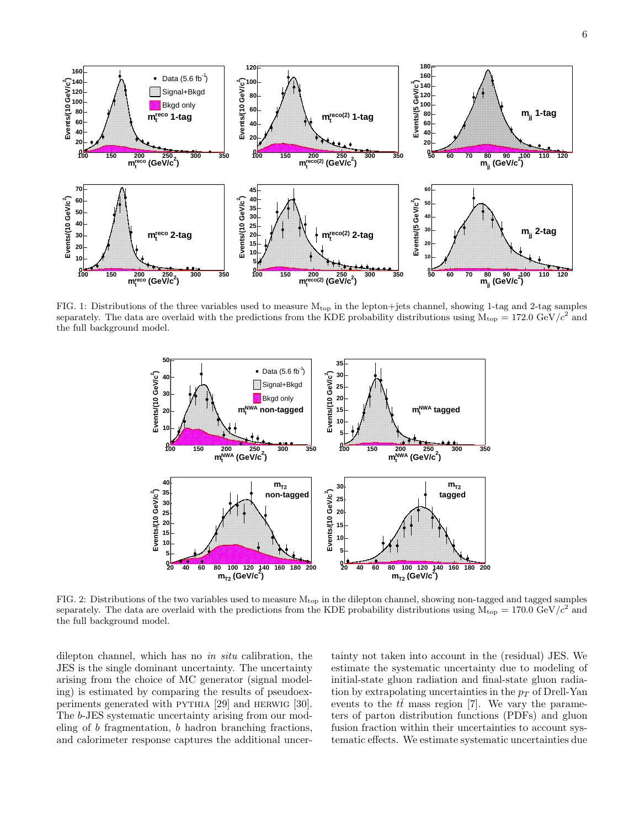

FIG. 1: Distributions of the three variables used to measure Mtop in the lepton+jets channel, showing 1-tag and 2-tag samples separately. The data are overlaid with the predictions from the KDE probability distributions using  $\dot{M}_{\rm top} = 172.0 \text{ GeV}/c^2$  and the full background model.



FIG. 2: Distributions of the two variables used to measure  $M_{top}$  in the dilepton channel, showing non-tagged and tagged samples separately. The data are overlaid with the predictions from the KDE probability distributions using  $M_{\text{top}} = 170.0 \text{ GeV}/c^2$  and the full background model.

dilepton channel, which has no in situ calibration, the JES is the single dominant uncertainty. The uncertainty arising from the choice of MC generator (signal modeling) is estimated by comparing the results of pseudoexperiments generated with pythia [29] and herwig [30]. The b-JES systematic uncertainty arising from our modeling of b fragmentation, b hadron branching fractions, and calorimeter response captures the additional uncer-

tainty not taken into account in the (residual) JES. We estimate the systematic uncertainty due to modeling of initial-state gluon radiation and final-state gluon radiation by extrapolating uncertainties in the  $p_T$  of Drell-Yan events to the  $t\bar{t}$  mass region [7]. We vary the parameters of parton distribution functions (PDFs) and gluon fusion fraction within their uncertainties to account systematic effects. We estimate systematic uncertainties due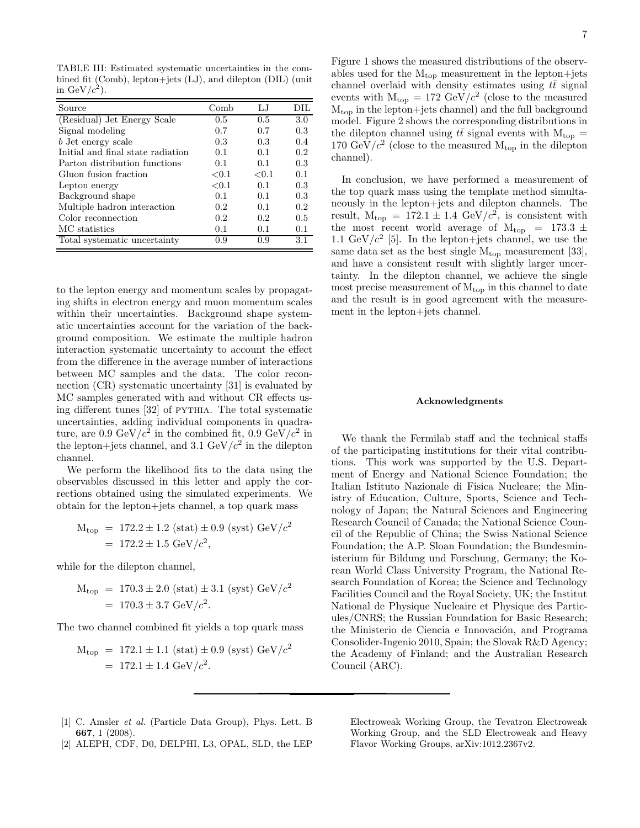TABLE III: Estimated systematic uncertainties in the combined fit (Comb), lepton+jets (LJ), and dilepton (DIL) (unit in GeV/ $c^2$ ).

| Source                            | Comb     | LJ.   | DIL |
|-----------------------------------|----------|-------|-----|
| (Residual) Jet Energy Scale       | 0.5      | 0.5   | 3.0 |
| Signal modeling                   | 0.7      | 0.7   | 0.3 |
| b Jet energy scale                | 0.3      | 0.3   | 0.4 |
| Initial and final state radiation | 0.1      | 0.1   | 0.2 |
| Parton distribution functions     | 0.1      | 0.1   | 0.3 |
| Gluon fusion fraction             | ${<}0.1$ | < 0.1 | 0.1 |
| Lepton energy                     | ${<}0.1$ | 0.1   | 0.3 |
| Background shape                  | 0.1      | 0.1   | 0.3 |
| Multiple hadron interaction       | 0.2      | 0.1   | 0.2 |
| Color reconnection                | 0.2      | 0.2   | 0.5 |
| MC statistics                     | 0.1      | 0.1   | 0.1 |
| Total systematic uncertainty      | 0.9      | 0.9   | 3.1 |

to the lepton energy and momentum scales by propagating shifts in electron energy and muon momentum scales within their uncertainties. Background shape systematic uncertainties account for the variation of the background composition. We estimate the multiple hadron interaction systematic uncertainty to account the effect from the difference in the average number of interactions between MC samples and the data. The color reconnection (CR) systematic uncertainty [31] is evaluated by MC samples generated with and without CR effects using different tunes [32] of PYTHIA. The total systematic uncertainties, adding individual components in quadrature, are 0.9 GeV/ $c^2$  in the combined fit, 0.9 GeV/ $c^2$  in the lepton+jets channel, and 3.1 GeV/ $c^2$  in the dilepton channel.

We perform the likelihood fits to the data using the observables discussed in this letter and apply the corrections obtained using the simulated experiments. We obtain for the lepton+jets channel, a top quark mass

$$
M_{\text{top}} = 172.2 \pm 1.2 \text{ (stat)} \pm 0.9 \text{ (syst)} \text{ GeV}/c^2
$$
  
= 172.2 \pm 1.5 \text{ GeV}/c^2,

while for the dilepton channel,

$$
M_{\text{top}} = 170.3 \pm 2.0 \text{ (stat)} \pm 3.1 \text{ (syst) GeV}/c^2
$$
  
= 170.3 \pm 3.7 GeV/c<sup>2</sup>.

The two channel combined fit yields a top quark mass

$$
M_{\text{top}} = 172.1 \pm 1.1 \text{ (stat)} \pm 0.9 \text{ (syst)} \text{ GeV}/c^2
$$
  
= 172.1 \pm 1.4 \text{ GeV}/c^2.

Figure 1 shows the measured distributions of the observables used for the  $M_{top}$  measurement in the lepton+jets channel overlaid with density estimates using  $t\bar{t}$  signal events with  $M_{top} = 172 \text{ GeV}/c^2$  (close to the measured  $M_{\text{top}}$  in the lepton+jets channel) and the full background model. Figure 2 shows the corresponding distributions in the dilepton channel using  $t\bar{t}$  signal events with  $M_{top} =$ 170 GeV/ $c^2$  (close to the measured  $M_{top}$  in the dilepton channel).

In conclusion, we have performed a measurement of the top quark mass using the template method simultaneously in the lepton+jets and dilepton channels. The result,  $M_{top} = 172.1 \pm 1.4 \text{ GeV}/c^2$ , is consistent with the most recent world average of  $M_{\text{top}} = 173.3 \pm 10^{-10}$ 1.1 GeV/ $c^2$  [5]. In the lepton+jets channel, we use the same data set as the best single  $M_{top}$  measurement [33], and have a consistent result with slightly larger uncertainty. In the dilepton channel, we achieve the single most precise measurement of  $M_{top}$  in this channel to date and the result is in good agreement with the measurement in the lepton+jets channel.

#### Acknowledgments

We thank the Fermilab staff and the technical staffs of the participating institutions for their vital contributions. This work was supported by the U.S. Department of Energy and National Science Foundation; the Italian Istituto Nazionale di Fisica Nucleare; the Ministry of Education, Culture, Sports, Science and Technology of Japan; the Natural Sciences and Engineering Research Council of Canada; the National Science Council of the Republic of China; the Swiss National Science Foundation; the A.P. Sloan Foundation; the Bundesministerium für Bildung und Forschung, Germany; the Korean World Class University Program, the National Research Foundation of Korea; the Science and Technology Facilities Council and the Royal Society, UK; the Institut National de Physique Nucleaire et Physique des Particules/CNRS; the Russian Foundation for Basic Research; the Ministerio de Ciencia e Innovación, and Programa Consolider-Ingenio 2010, Spain; the Slovak R&D Agency; the Academy of Finland; and the Australian Research Council (ARC).

- [1] C. Amsler et al. (Particle Data Group), Phys. Lett. B 667, 1 (2008).
- [2] ALEPH, CDF, D0, DELPHI, L3, OPAL, SLD, the LEP

Electroweak Working Group, the Tevatron Electroweak Working Group, and the SLD Electroweak and Heavy Flavor Working Groups, arXiv:1012.2367v2.